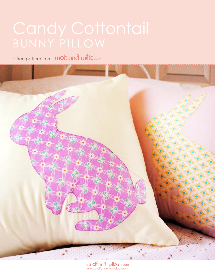a free pattern from uolf and willow

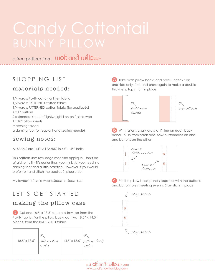a free pattern from wolf and willow.

# SHOPPING LIST

# materials needed:

1/4 yard x PLAIN cotton or linen fabric 1/2 yard x PATTERNED cotton fabric 1/4 yard x PATTERNED cotton fabric (for appliqués) 4 x 1" buttons 2 x standard sheet of lightweight iron-on fusible web 1 x 18" pillow inserts matching thread a darning foot (or regular hand-sewing needle)

### sewing notes:

All SEAMS are 1/4". All FABRIC in 44" - 45" bolts.

This pattern uses raw-edge machine appliqué. Don't be afraid to try it – it's easier than you think! All you need is a darning foot and a little practice. However, if you would prefer to hand-stitch the appliqué, please do!

My favourite fusible web is *Steam-a-Seam Lite*.

# LET'S GET STARTED

## making the pillow case

Cut one 18.5" x 18.5" square pillow top from the PLAIN fabric. For the pillow back, cut two 18.5" x 14.5" pieces, from the PATTERNED fabric.



**2** Take both pillow backs and press under 2" on one side only, fold and press again to make a double thickness. Top stitch in place.



**3** With tailor's chalk draw a 1" line on each back panel, 6" in from each side. Sew buttonholes on one, and buttons on the other!



4. Pin the pillow back panels together with the buttons and buttonholes meeting evenly. Stay stich in place.



 $_{\odot}$  wolt and willow  $_{\textrm{\tiny{2010}}}$ www.wolfandwillowblog.com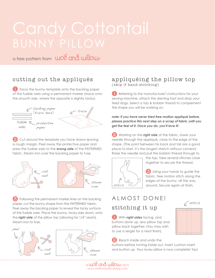a free pattern from wolf and willow.

## cutting out the appliqués

**T** Trace the bunny template onto the backing paper of the fusible web using a permanent marker (trace onto the *smooth* side, where the opposite is slightly tacky).



2 Cut around the template you have drawn leaving a rough margin. Peel away the protective paper and press the fusible web to the *wrong side* of the PATTERNED fabric. Steam iron over the backing paper to fuse.





 Following the permanent marker lines on the backing paper, cut the bunny shape from the PATTERNED fabric. Peel away the backing paper to reveal the tacky surface of the fusible web. Place the bunny, tacky side down, onto the *right side* of the pillow top (allowing for 1/4" seam). Steam iron to fuse.





### appliquéing the pillow top (skip if hand-stitching)

**L** Referring to the manufacturer's instructions for your sewing machine, attach the darning foot and drop your feed dogs. Select a top & bobbin thread to complement the shape you will be working on.

*note: if you have never tried free-motion appliqué before, please practice this next step on a scrap of fabric until you get the feel of it. Once you do, you'll love it!*

**2** Working on the **right side** of the fabric, lower your needle through the appliqué, close to the edge of the shape. (The point between his back and tail are a good place to start; it's the longest stretch without corners!) Raise the needle and pull the bobbin thread through to



the top. Take several stitches close together to secure the thread.

**3** Using your hands to guide the fabric, free motion stitch along the edges of the bunny, all the way around. Secure again at finish.

stitch

# ALMOST DONE! stitching it up

With *right sides* facing, and buttons done up, sew pillow top and pillow back together. (You may wish to use a serger for a neat finish).

Reach inside and undo the

buttons before turning inside out. Insert cushion insert and button up. Your lovey pillow is now complete! Yay!

 $_{\odot}$  wolt and willow  $_{\textrm{\tiny{2010}}}$ www.wolfandwillowblog.com